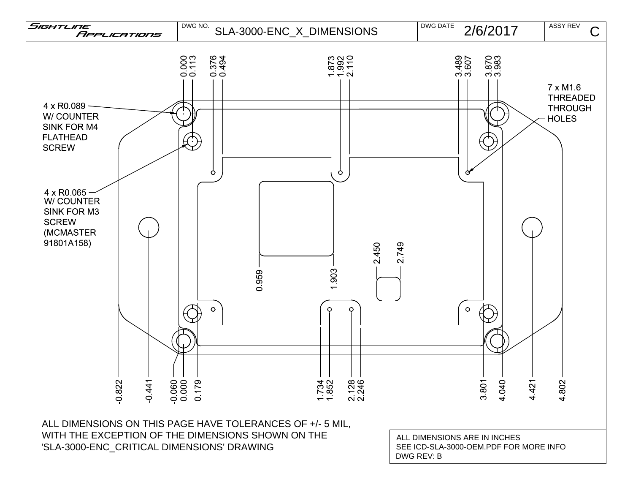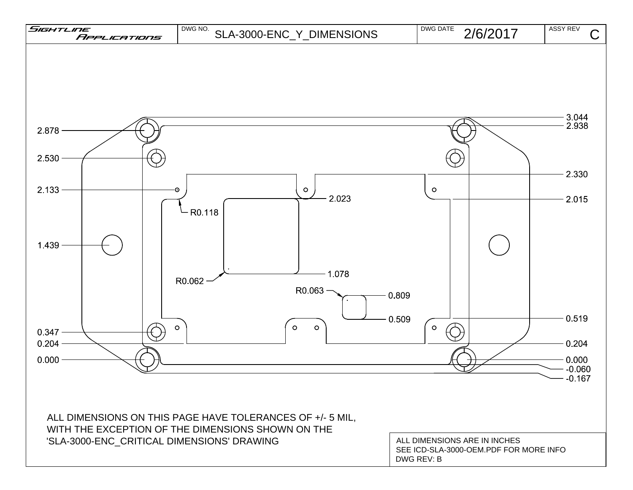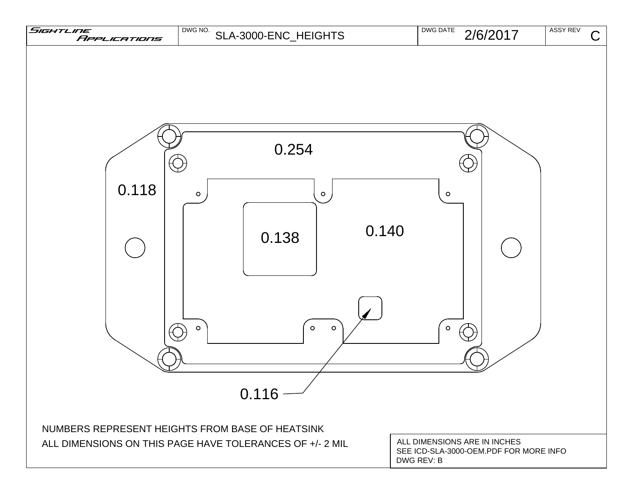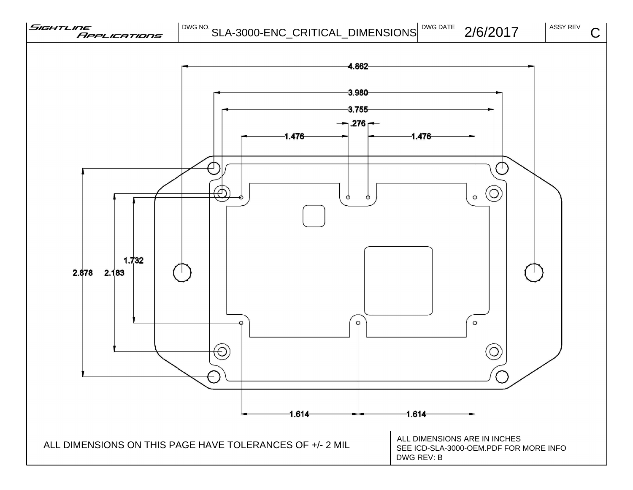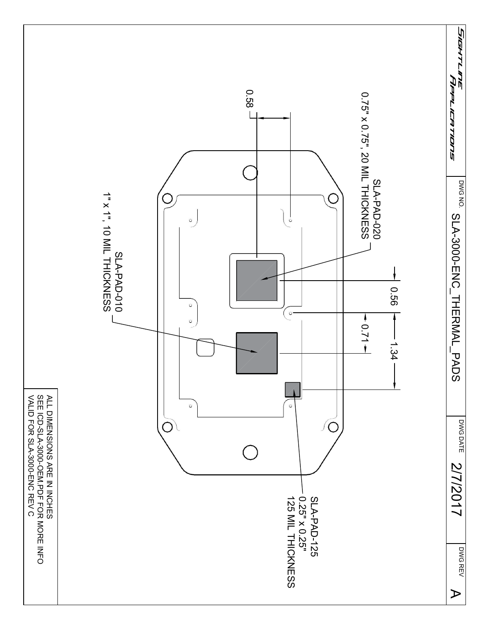